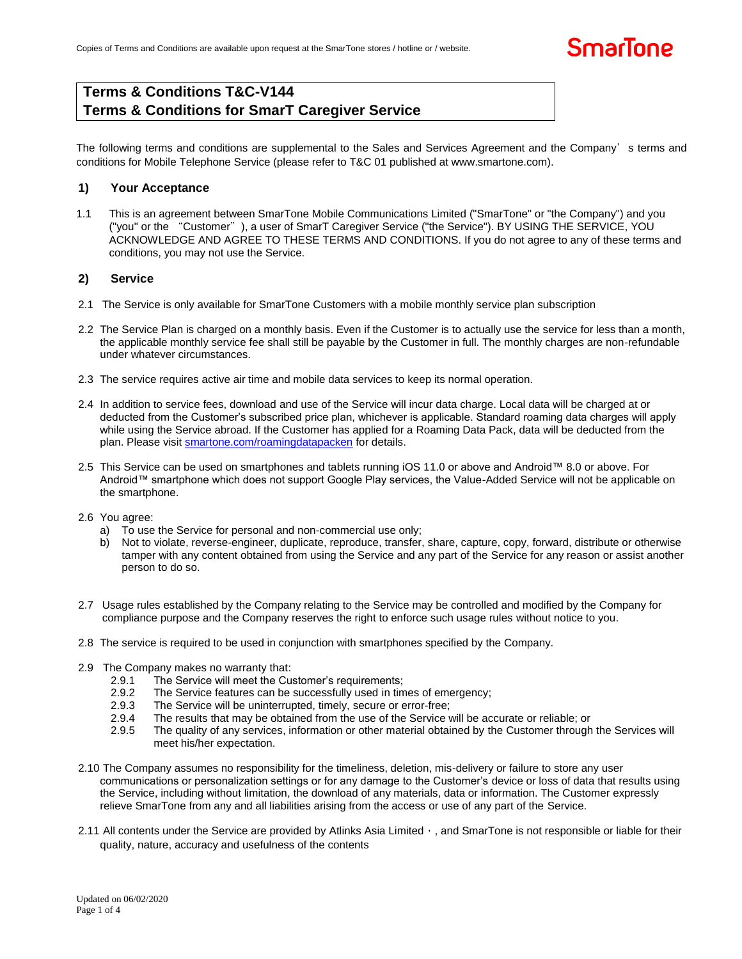# **Terms & Conditions T&C-V144 Terms & Conditions for SmarT Caregiver Service**

The following terms and conditions are supplemental to the Sales and Services Agreement and the Company's terms and conditions for Mobile Telephone Service (please refer to T&C 01 published at www.smartone.com).

## **1) Your Acceptance**

1.1 This is an agreement between SmarTone Mobile Communications Limited ("SmarTone" or "the Company") and you ("you" or the "Customer"), a user of SmarT Caregiver Service ("the Service"). BY USING THE SERVICE, YOU ACKNOWLEDGE AND AGREE TO THESE TERMS AND CONDITIONS. If you do not agree to any of these terms and conditions, you may not use the Service.

### **2) Service**

- 2.1 The Service is only available for SmarTone Customers with a mobile monthly service plan subscription
- 2.2 The Service Plan is charged on a monthly basis. Even if the Customer is to actually use the service for less than a month, the applicable monthly service fee shall still be payable by the Customer in full. The monthly charges are non-refundable under whatever circumstances.
- 2.3 The service requires active air time and mobile data services to keep its normal operation.
- 2.4 In addition to service fees, download and use of the Service will incur data charge. Local data will be charged at or deducted from the Customer's subscribed price plan, whichever is applicable. Standard roaming data charges will apply while using the Service abroad. If the Customer has applied for a Roaming Data Pack, data will be deducted from the plan. Please visi[t smartone.com/roamingdatapacken](smartone.com/roamingdatapacken) for details.
- 2.5 This Service can be used on smartphones and tablets running iOS 11.0 or above and Android™ 8.0 or above. For Android™ smartphone which does not support Google Play services, the Value-Added Service will not be applicable on the smartphone.
- 2.6 You agree:
	- a) To use the Service for personal and non-commercial use only;
	- b) Not to violate, reverse-engineer, duplicate, reproduce, transfer, share, capture, copy, forward, distribute or otherwise tamper with any content obtained from using the Service and any part of the Service for any reason or assist another person to do so.
- 2.7 Usage rules established by the Company relating to the Service may be controlled and modified by the Company for compliance purpose and the Company reserves the right to enforce such usage rules without notice to you.
- 2.8 The service is required to be used in conjunction with smartphones specified by the Company.
- 2.9 The Company makes no warranty that:
	- 2.9.1 The Service will meet the Customer's requirements;
	- 2.9.2 The Service features can be successfully used in times of emergency;
	- 2.9.3 The Service will be uninterrupted, timely, secure or error-free;
	- 2.9.4 The results that may be obtained from the use of the Service will be accurate or reliable; or
	- 2.9.5 The quality of any services, information or other material obtained by the Customer through the Services will meet his/her expectation.
- 2.10 The Company assumes no responsibility for the timeliness, deletion, mis-delivery or failure to store any user communications or personalization settings or for any damage to the Customer's device or loss of data that results using the Service, including without limitation, the download of any materials, data or information. The Customer expressly relieve SmarTone from any and all liabilities arising from the access or use of any part of the Service.
- 2.11 All contents under the Service are provided by Atlinks Asia Limited, and SmarTone is not responsible or liable for their quality, nature, accuracy and usefulness of the contents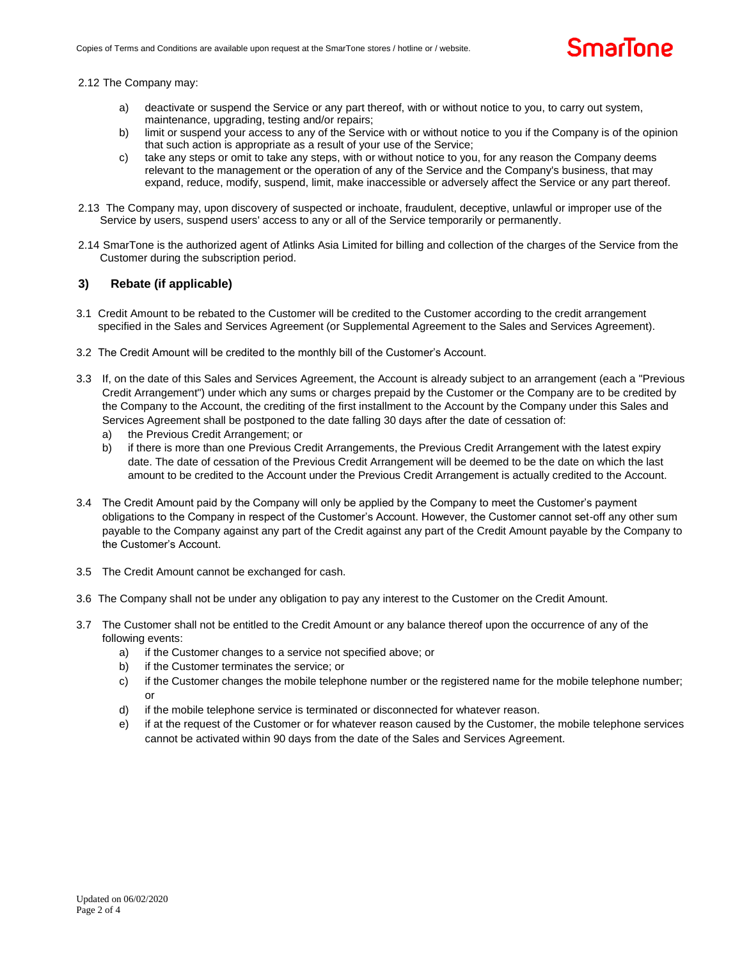#### 2.12 The Company may:

- a) deactivate or suspend the Service or any part thereof, with or without notice to you, to carry out system, maintenance, upgrading, testing and/or repairs;
- b) limit or suspend your access to any of the Service with or without notice to you if the Company is of the opinion that such action is appropriate as a result of your use of the Service;
- c) take any steps or omit to take any steps, with or without notice to you, for any reason the Company deems relevant to the management or the operation of any of the Service and the Company's business, that may expand, reduce, modify, suspend, limit, make inaccessible or adversely affect the Service or any part thereof.
- 2.13 The Company may, upon discovery of suspected or inchoate, fraudulent, deceptive, unlawful or improper use of the Service by users, suspend users' access to any or all of the Service temporarily or permanently.
- 2.14 SmarTone is the authorized agent of Atlinks Asia Limited for billing and collection of the charges of the Service from the Customer during the subscription period.

#### **3) Rebate (if applicable)**

- 3.1 Credit Amount to be rebated to the Customer will be credited to the Customer according to the credit arrangement specified in the Sales and Services Agreement (or Supplemental Agreement to the Sales and Services Agreement).
- 3.2 The Credit Amount will be credited to the monthly bill of the Customer's Account.
- 3.3 If, on the date of this Sales and Services Agreement, the Account is already subject to an arrangement (each a "Previous Credit Arrangement") under which any sums or charges prepaid by the Customer or the Company are to be credited by the Company to the Account, the crediting of the first installment to the Account by the Company under this Sales and Services Agreement shall be postponed to the date falling 30 days after the date of cessation of:
	- a) the Previous Credit Arrangement; or
	- b) if there is more than one Previous Credit Arrangements, the Previous Credit Arrangement with the latest expiry date. The date of cessation of the Previous Credit Arrangement will be deemed to be the date on which the last amount to be credited to the Account under the Previous Credit Arrangement is actually credited to the Account.
- 3.4 The Credit Amount paid by the Company will only be applied by the Company to meet the Customer's payment obligations to the Company in respect of the Customer's Account. However, the Customer cannot set-off any other sum payable to the Company against any part of the Credit against any part of the Credit Amount payable by the Company to the Customer's Account.
- 3.5 The Credit Amount cannot be exchanged for cash.
- 3.6 The Company shall not be under any obligation to pay any interest to the Customer on the Credit Amount.
- 3.7 The Customer shall not be entitled to the Credit Amount or any balance thereof upon the occurrence of any of the following events:
	- a) if the Customer changes to a service not specified above; or
	- b) if the Customer terminates the service; or
	- c) if the Customer changes the mobile telephone number or the registered name for the mobile telephone number; or
	- d) if the mobile telephone service is terminated or disconnected for whatever reason.
	- e) if at the request of the Customer or for whatever reason caused by the Customer, the mobile telephone services cannot be activated within 90 days from the date of the Sales and Services Agreement.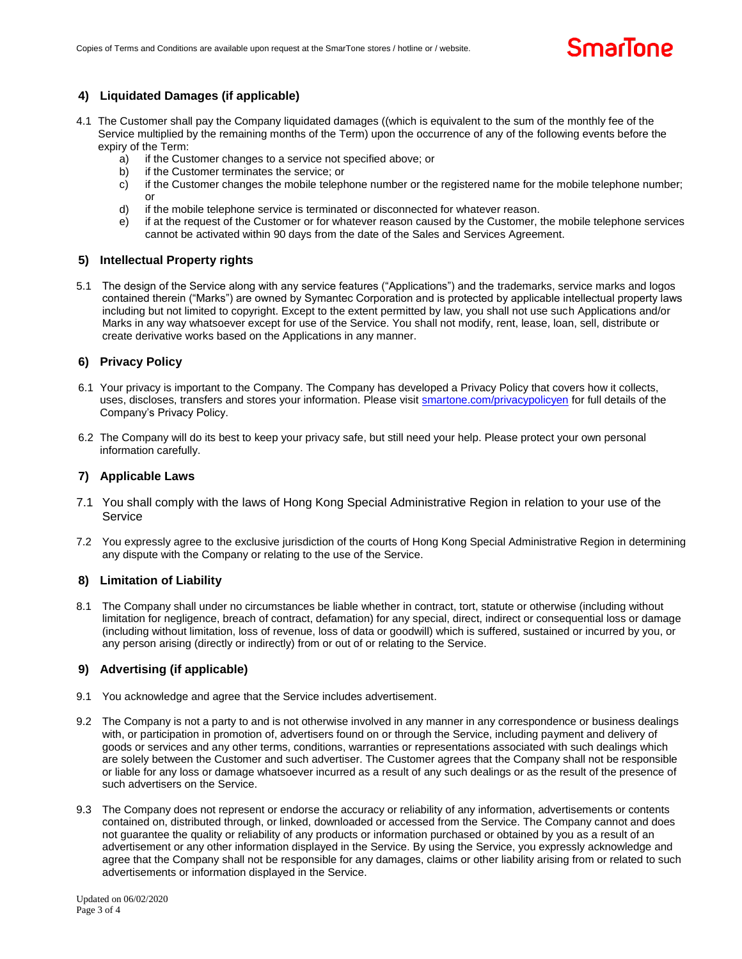## **4) Liquidated Damages (if applicable)**

- 4.1 The Customer shall pay the Company liquidated damages ((which is equivalent to the sum of the monthly fee of the Service multiplied by the remaining months of the Term) upon the occurrence of any of the following events before the expiry of the Term:
	- a) if the Customer changes to a service not specified above; or
	- b) if the Customer terminates the service; or
	- c) if the Customer changes the mobile telephone number or the registered name for the mobile telephone number; or
	- d) if the mobile telephone service is terminated or disconnected for whatever reason.
	- e) if at the request of the Customer or for whatever reason caused by the Customer, the mobile telephone services cannot be activated within 90 days from the date of the Sales and Services Agreement.

### **5) Intellectual Property rights**

5.1 The design of the Service along with any service features ("Applications") and the trademarks, service marks and logos contained therein ("Marks") are owned by Symantec Corporation and is protected by applicable intellectual property laws including but not limited to copyright. Except to the extent permitted by law, you shall not use such Applications and/or Marks in any way whatsoever except for use of the Service. You shall not modify, rent, lease, loan, sell, distribute or create derivative works based on the Applications in any manner.

### **6) Privacy Policy**

- 6.1 Your privacy is important to the Company. The Company has developed a Privacy Policy that covers how it collects, uses, discloses, transfers and stores your information. Please visit<smartone.com/privacypolicyen> for full details of the Company's Privacy Policy.
- 6.2 The Company will do its best to keep your privacy safe, but still need your help. Please protect your own personal information carefully.

#### **7) Applicable Laws**

- 7.1 You shall comply with the laws of Hong Kong Special Administrative Region in relation to your use of the Service
- 7.2 You expressly agree to the exclusive jurisdiction of the courts of Hong Kong Special Administrative Region in determining any dispute with the Company or relating to the use of the Service.

#### **8) Limitation of Liability**

8.1 The Company shall under no circumstances be liable whether in contract, tort, statute or otherwise (including without limitation for negligence, breach of contract, defamation) for any special, direct, indirect or consequential loss or damage (including without limitation, loss of revenue, loss of data or goodwill) which is suffered, sustained or incurred by you, or any person arising (directly or indirectly) from or out of or relating to the Service.

#### **9) Advertising (if applicable)**

- 9.1 You acknowledge and agree that the Service includes advertisement.
- 9.2 The Company is not a party to and is not otherwise involved in any manner in any correspondence or business dealings with, or participation in promotion of, advertisers found on or through the Service, including payment and delivery of goods or services and any other terms, conditions, warranties or representations associated with such dealings which are solely between the Customer and such advertiser. The Customer agrees that the Company shall not be responsible or liable for any loss or damage whatsoever incurred as a result of any such dealings or as the result of the presence of such advertisers on the Service.
- 9.3 The Company does not represent or endorse the accuracy or reliability of any information, advertisements or contents contained on, distributed through, or linked, downloaded or accessed from the Service. The Company cannot and does not guarantee the quality or reliability of any products or information purchased or obtained by you as a result of an advertisement or any other information displayed in the Service. By using the Service, you expressly acknowledge and agree that the Company shall not be responsible for any damages, claims or other liability arising from or related to such advertisements or information displayed in the Service.